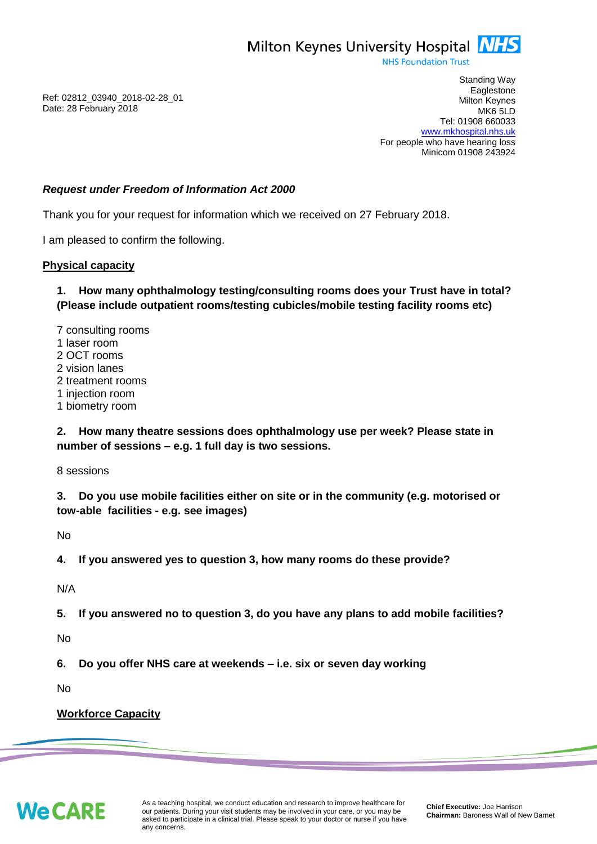

**NHS Foundation Trust** 

Ref: 02812\_03940\_2018-02-28\_01 Date: 28 February 2018

Standing Way **Eaglestone** Milton Keynes MK6 5LD Tel: 01908 660033 [www.mkhospital.nhs.uk](http://www.mkhospital.nhs.uk/) For people who have hearing loss Minicom 01908 243924

#### *Request under Freedom of Information Act 2000*

Thank you for your request for information which we received on 27 February 2018.

I am pleased to confirm the following.

#### **Physical capacity**

**1. How many ophthalmology testing/consulting rooms does your Trust have in total? (Please include outpatient rooms/testing cubicles/mobile testing facility rooms etc)** 

7 consulting rooms 1 laser room 2 OCT rooms 2 vision lanes 2 treatment rooms 1 injection room 1 biometry room

**2. How many theatre sessions does ophthalmology use per week? Please state in number of sessions – e.g. 1 full day is two sessions.**

8 sessions

**3. Do you use mobile facilities either on site or in the community (e.g. motorised or tow-able facilities - e.g. see images)**

No

**4. If you answered yes to question 3, how many rooms do these provide?** 

N/A

**5. If you answered no to question 3, do you have any plans to add mobile facilities?**

No

**6. Do you offer NHS care at weekends – i.e. six or seven day working**

No

#### **Workforce Capacity**

**We CARE**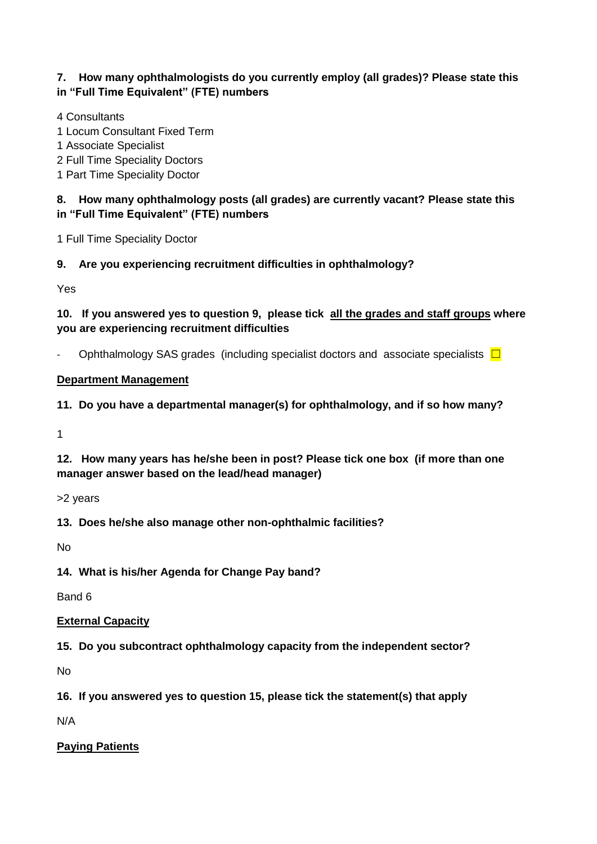## **7. How many ophthalmologists do you currently employ (all grades)? Please state this in "Full Time Equivalent" (FTE) numbers**

4 Consultants

1 Locum Consultant Fixed Term

1 Associate Specialist

2 Full Time Speciality Doctors

1 Part Time Speciality Doctor

## **8. How many ophthalmology posts (all grades) are currently vacant? Please state this in "Full Time Equivalent" (FTE) numbers**

1 Full Time Speciality Doctor

**9. Are you experiencing recruitment difficulties in ophthalmology?** 

Yes

**10. If you answered yes to question 9, please tick all the grades and staff groups where you are experiencing recruitment difficulties** 

Ophthalmology SAS grades (including specialist doctors and associate specialists  $\Box$ 

#### **Department Management**

**11. Do you have a departmental manager(s) for ophthalmology, and if so how many?**

1

**12. How many years has he/she been in post? Please tick one box (if more than one manager answer based on the lead/head manager)**

>2 years

**13. Does he/she also manage other non-ophthalmic facilities?** 

No

**14. What is his/her Agenda for Change Pay band?** 

Band 6

#### **External Capacity**

**15. Do you subcontract ophthalmology capacity from the independent sector?** 

No

**16. If you answered yes to question 15, please tick the statement(s) that apply**

N/A

# **Paying Patients**